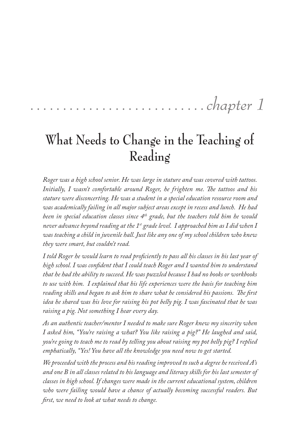# ........................... *chapter 1*

## **What Needs to Change in the Teaching of Reading**

*Roger was a high school senior. He was large in stature and was covered with tattoos. Initially, I wasn't comfortable around Roger, he frighten me. The tattoos and his stature were disconcerting. He was a student in a special education resource room and was academically failing in all major subject areas except in recess and lunch. He had been in special education classes since 4th grade, but the teachers told him he would never advance beyond reading at the 1st grade level. I approached him as I did when I was teaching a child in juvenile hall. Just like any one of my school children who knew they were smart, but couldn't read.* 

*I told Roger he would learn to read proficiently to pass all his classes in his last year of high school. I was confident that I could teach Roger and I wanted him to understand that he had the ability to succeed. He was puzzled because I had no books or workbooks to use with him. I explained that his life experiences were the basis for teaching him reading skills and began to ask him to share what he considered his passions. The first idea he shared was his love for raising his pot belly pig. I was fascinated that he was raising a pig. Not something I hear every day.* 

*As an authentic teacher/mentor I needed to make sure Roger knew my sincerity when I asked him, "You're raising a what? You like raising a pig?" He laughed and said, you're going to teach me to read by telling you about raising my pot belly pig? I replied emphatically, "Yes! You have all the knowledge you need now to get started.*

*We proceeded with the process and his reading improved to such a degree he received A's and one B in all classes related to his language and literacy skills for his last semester of classes in high school. If changes were made in the current educational system, children who were failing would have a chance of actually becoming successful readers. But first, we need to look at what needs to change.*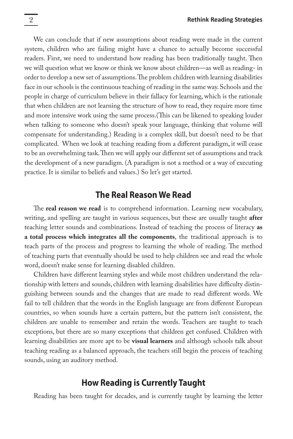We can conclude that if new assumptions about reading were made in the current system, children who are failing might have a chance to actually become successful readers. First, we need to understand how reading has been traditionally taught. Then we will question what we know or think we know about children—as well as reading- in order to develop a new set of assumptions. The problem children with learning disabilities face in our schools is the continuous teaching of reading in the same way. Schools and the people in charge of curriculum believe in their fallacy for learning, which is the rationale that when children are not learning the structure of how to read, they require more time and more intensive work using the same process.(This can be likened to speaking louder when talking to someone who doesn't speak your language, thinking that volume will compensate for understanding.) Reading is a complex skill, but doesn't need to be that complicated. When we look at teaching reading from a different paradigm, it will cease to be an overwhelming task. Then we will apply our different set of assumptions and track the development of a new paradigm. (A paradigm is not a method or a way of executing practice. It is similar to beliefs and values.) So let's get started.

#### **The Real Reason We Read**

The **real reason we read** is to comprehend information. Learning new vocabulary, writing, and spelling are taught in various sequences, but these are usually taught **after** teaching letter sounds and combinations. Instead of teaching the process of literacy **as a total process which integrates all the components**, the traditional approach is to teach parts of the process and progress to learning the whole of reading. The method of teaching parts that eventually should be used to help children see and read the whole word, doesn't make sense for learning disabled children.

Children have different learning styles and while most children understand the relationship with letters and sounds, children with learning disabilities have difficulty distinguishing between sounds and the changes that are made to read different words. We fail to tell children that the words in the English language are from different European countries, so when sounds have a certain pattern, but the pattern isn't consistent, the children are unable to remember and retain the words. Teachers are taught to teach exceptions, but there are so many exceptions that children get confused. Children with learning disabilities are more apt to be **visual learners** and although schools talk about teaching reading as a balanced approach, the teachers still begin the process of teaching sounds, using an auditory method.

#### **How Reading is Currently Taught**

Reading has been taught for decades, and is currently taught by learning the letter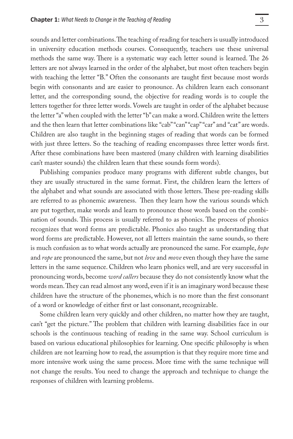sounds and letter combinations. The teaching of reading for teachers is usually introduced in university education methods courses. Consequently, teachers use these universal methods the same way. There is a systematic way each letter sound is learned. The 26 letters are not always learned in the order of the alphabet, but most often teachers begin with teaching the letter "B." Often the consonants are taught first because most words begin with consonants and are easier to pronounce. As children learn each consonant letter, and the corresponding sound, the objective for reading words is to couple the letters together for three letter words. Vowels are taught in order of the alphabet because the letter "a" when coupled with the letter "b" can make a word. Children write the letters and the then learn that letter combinations like "cab" "can" "cap" "car" and "cat" are words. Children are also taught in the beginning stages of reading that words can be formed with just three letters. So the teaching of reading encompasses three letter words first. After these combinations have been mastered (many children with learning disabilities can't master sounds) the children learn that these sounds form words).

Publishing companies produce many programs with different subtle changes, but they are usually structured in the same format. First, the children learn the letters of the alphabet and what sounds are associated with those letters. These pre-reading skills are referred to as phonemic awareness. Then they learn how the various sounds which are put together, make words and learn to pronounce those words based on the combination of sounds. This process is usually referred to as phonics. The process of phonics recognizes that word forms are predictable. Phonics also taught as understanding that word forms are predictable. However, not all letters maintain the same sounds, so there is much confusion as to what words actually are pronounced the same. For example, *hope* and *rope* are pronounced the same, but not *love* and *move* even though they have the same letters in the same sequence. Children who learn phonics well, and are very successful in pronouncing words, become *word callers* because they do not consistently know what the words mean. They can read almost any word, even if it is an imaginary word because these children have the structure of the phonemes, which is no more than the first consonant of a word or knowledge of either first or last consonant, recognizable.

Some children learn very quickly and other children, no matter how they are taught, can't "get the picture." The problem that children with learning disabilities face in our schools is the continuous teaching of reading in the same way. School curriculum is based on various educational philosophies for learning. One specific philosophy is when children are not learning how to read, the assumption is that they require more time and more intensive work using the same process. More time with the same technique will not change the results. You need to change the approach and technique to change the responses of children with learning problems.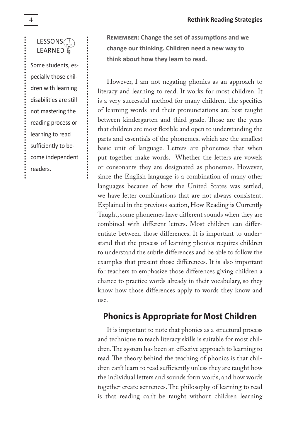

Some students, especially those children with learning disabilities are still not mastering the reading process or learning to read sufficiently to become independent readers.

.......

**Remember: Change the set of assumptions and we change our thinking. Children need a new way to think about how they learn to read.**

However, I am not negating phonics as an approach to literacy and learning to read. It works for most children. It is a very successful method for many children. The specifics of learning words and their pronunciations are best taught between kindergarten and third grade. Those are the years that children are most flexible and open to understanding the parts and essentials of the phonemes, which are the smallest basic unit of language. Letters are phonemes that when put together make words. Whether the letters are vowels or consonants they are designated as phonemes. However, since the English language is a combination of many other languages because of how the United States was settled, we have letter combinations that are not always consistent. Explained in the previous section, How Reading is Currently Taught, some phonemes have different sounds when they are combined with different letters. Most children can differentiate between those differences. It is important to understand that the process of learning phonics requires children to understand the subtle differences and be able to follow the examples that present those differences. It is also important for teachers to emphasize those differences giving children a chance to practice words already in their vocabulary, so they know how those differences apply to words they know and use.

#### **Phonics is Appropriate for Most Children**

It is important to note that phonics as a structural process and technique to teach literacy skills is suitable for most children. The system has been an effective approach to learning to read. The theory behind the teaching of phonics is that children can't learn to read sufficiently unless they are taught how the individual letters and sounds form words, and how words together create sentences. The philosophy of learning to read is that reading can't be taught without children learning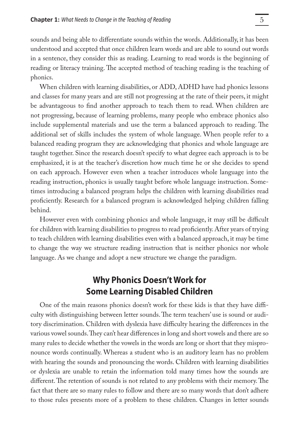sounds and being able to differentiate sounds within the words. Additionally, it has been understood and accepted that once children learn words and are able to sound out words in a sentence, they consider this as reading. Learning to read words is the beginning of reading or literacy training. The accepted method of teaching reading is the teaching of phonics.

When children with learning disabilities, or ADD, ADHD have had phonics lessons and classes for many years and are still not progressing at the rate of their peers, it might be advantageous to find another approach to teach them to read. When children are not progressing, because of learning problems, many people who embrace phonics also include supplemental materials and use the term a balanced approach to reading. The additional set of skills includes the system of whole language. When people refer to a balanced reading program they are acknowledging that phonics and whole language are taught together. Since the research doesn't specify to what degree each approach is to be emphasized, it is at the teacher's discretion how much time he or she decides to spend on each approach. However even when a teacher introduces whole language into the reading instruction, phonics is usually taught before whole language instruction. Sometimes introducing a balanced program helps the children with learning disabilities read proficiently. Research for a balanced program is acknowledged helping children falling behind.

However even with combining phonics and whole language, it may still be difficult for children with learning disabilities to progress to read proficiently. After years of trying to teach children with learning disabilities even with a balanced approach, it may be time to change the way we structure reading instruction that is neither phonics nor whole language. As we change and adopt a new structure we change the paradigm.

### **Why Phonics Doesn't Work for Some Learning Disabled Children**

One of the main reasons phonics doesn't work for these kids is that they have difficulty with distinguishing between letter sounds. The term teachers' use is sound or auditory discrimination. Children with dyslexia have difficulty hearing the differences in the various vowel sounds. They can't hear differences in long and short vowels and there are so many rules to decide whether the vowels in the words are long or short that they mispronounce words continually. Whereas a student who is an auditory learn has no problem with hearing the sounds and pronouncing the words. Children with learning disabilities or dyslexia are unable to retain the information told many times how the sounds are different. The retention of sounds is not related to any problems with their memory. The fact that there are so many rules to follow and there are so many words that don't adhere to those rules presents more of a problem to these children. Changes in letter sounds